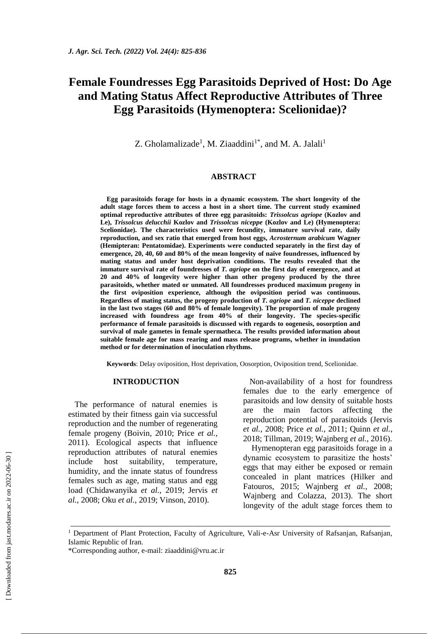# **Female Foundresses Egg Parasitoids Deprived of Host: Do Age and Mating Status Affect Reproductive Attributes of Three Egg Parasitoids (Hymenoptera: Scelionidae)?**

Z. Gholamalizade<sup>1</sup>, M. Ziaaddini<sup>1\*</sup>, and M. A. Jalali<sup>1</sup>

# **ABSTRACT**

**Egg parasitoids forage for hosts in a dynamic ecosystem. The short longevity of the adult stage forces them to access a host in a short time. The current study examined optimal reproductive attributes of three egg parasitoids:** *Trissolcus agriope* **(Kozlov and Le),** *Trissolcus delucchii* **Kozlov and** *Trissolcus niceppe* **(Kozlov and Le) (Hymenoptera: Scelionidae). The characteristics used were fecundity, immature survival rate, daily reproduction, and sex ratio that emerged from host eggs,** *Acrosternum arabicum* **Wagner (Hemipteran: Pentatomidae). Experiments were conducted separately in the first day of emergence, 20, 40, 60 and 80% of the mean longevity of naïve foundresses, influenced by mating status and under host deprivation conditions. The results revealed that the immature survival rate of foundresses of** *T. agriope* **on the first day of emergence, and at 20 and 40% of longevity were higher than other progeny produced by the three parasitoids, whether mated or unmated. All foundresses produced maximum progeny in the first oviposition experience, although the oviposition period was continuous. Regardless of mating status, the progeny production of** *T. agriope* **and** *T. niceppe* **declined in the last two stages (60 and 80% of female longevity). The proportion of male progeny increased with foundress age from 40% of their longevity. The species-specific performance of female parasitoids is discussed with regards to oogenesis, oosorption and survival of male gametes in female spermatheca. The results provided information about suitable female age for mass rearing and mass release programs, whether in inundation method or for determination of inoculation rhythms.**

**Keywords**: Delay oviposition, Host deprivation, Oosorption, Oviposition trend, Scelionidae.

# **INTRODUCTION**

The performance of natural enemies is estimated by their fitness gain via successful reproduction and the number of regenerating female progeny (Boivin, 2010; Price *et al.*, 2011). Ecological aspects that influence reproduction attributes of natural enemies include host suitability, temperature, humidity, and the innate status of foundress females such as age, mating status and egg load (Chidawanyika *et al.*, 2019; Jervis *et al.*, 2008; Oku *et al.*, 2019; Vinson, 2010).

Non-availability of a host for foundress females due to the early emergence of parasitoids and low density of suitable hosts are the main factors affecting the reproduction potential of parasitoids (Jervis *et al.*, 2008; Price *et al.*, 2011; Quinn *et al.*, 2018; Tillman, 2019; Wajnberg *et al.*, 2016).

Hymenopteran egg parasitoids forage in a dynamic ecosystem to parasitize the hosts' eggs that may either be exposed or remain concealed in plant matrices (Hilker and Fatouros, 2015; Wajnberg *et al.*, 2008; Wajnberg and Colazza, 2013). The short longevity of the adult stage forces them to

\_\_\_\_\_\_\_\_\_\_\_\_\_\_\_\_\_\_\_\_\_\_\_\_\_\_\_\_\_\_\_\_\_\_\_\_\_\_\_\_\_\_\_\_\_\_\_\_\_\_\_\_\_\_\_\_\_\_\_\_\_\_\_\_\_\_\_\_\_\_\_\_\_\_\_\_\_

<sup>&</sup>lt;sup>1</sup> Department of Plant Protection, Faculty of Agriculture, Vali-e-Asr University of Rafsanjan, Rafsanjan, Islamic Republic of Iran.

<sup>\*</sup>Corresponding author, e-mail: [ziaaddini@vru.ac.ir](mailto:ziaaddini@vru.ac.ir)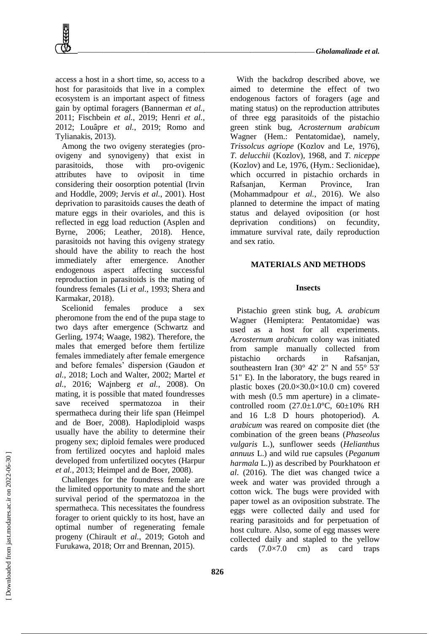access a host in a short time, so, access to a host for parasitoids that live in a complex ecosystem is an important aspect of fitness gain by optimal foragers (Bannerman *et al.*, 2011; Fischbein *et al.*, 2019; Henri *et al.*, 2012; Louâpre *et al.*, 2019; Romo and Tylianakis, 2013).

Among the two ovigeny sterategies (proovigeny and synovigeny) that exist in parasitoids, those with pro-ovigenic attributes have to oviposit in time considering their oosorption potential (Irvin and Hoddle, 2009; Jervis *et al.*, 2001). Host deprivation to parasitoids causes the death of mature eggs in their ovarioles, and this is reflected in egg load reduction (Asplen and Byrne, 2006; Leather, 2018). Hence, parasitoids not having this ovigeny strategy should have the ability to reach the host immediately after emergence. Another endogenous aspect affecting successful reproduction in parasitoids is the mating of foundress females (Li *et al.*, 1993; Shera and Karmakar, 2018).

Scelionid females produce a sex pheromone from the end of the pupa stage to two days after emergence (Schwartz and Gerling, 1974; Waage, 1982). Therefore, the males that emerged before them fertilize females immediately after female emergence and before females' dispersion (Gaudon *et al.*, 2018; Loch and Walter, 2002; Martel *et al.*, 2016; Wajnberg *et al.*, 2008). On mating, it is possible that mated foundresses save received spermatozoa in their spermatheca during their life span (Heimpel and de Boer, 2008). Haplodiploid wasps usually have the ability to determine their progeny sex; diploid females were produced from fertilized oocytes and haploid males developed from unfertilized oocytes (Harpur *et al.*, 2013; Heimpel and de Boer, 2008).

Challenges for the foundress female are the limited opportunity to mate and the short survival period of the spermatozoa in the spermatheca. This necessitates the foundress forager to orient quickly to its host, have an optimal number of regenerating female progeny (Chirault *et al.*, 2019; Gotoh and Furukawa, 2018; Orr and Brennan, 2015).

With the backdrop described above, we aimed to determine the effect of two endogenous factors of foragers (age and mating status) on the reproduction attributes of three egg parasitoids of the pistachio green stink bug, *Acrosternum arabicum* Wagner (Hem.: Pentatomidae), namely, *Trissolcus agriope* (Kozlov and Le, 1976), *T. delucchii* (Kozlov), 1968, and *T. niceppe*  (Kozlov) and Le, 1976, (Hym.: Seclionidae), which occurred in pistachio orchards in Rafsanjan, Kerman Province, Iran (Mohammadpour *et al.*, 2016). We also planned to determine the impact of mating status and delayed oviposition (or host deprivation conditions) on fecundity, immature survival rate, daily reproduction and sex ratio.

# **MATERIALS AND METHODS**

## **Insects**

Pistachio green stink bug, *A. arabicum* Wagner (Hemiptera: Pentatomidae) was used as a host for all experiments. *Acrosternum arabicum* colony was initiated from sample manually collected from pistachio orchards in Rafsanjan, southeastern Iran (30° 42' 2" N and 55° 53' 51" E). In the laboratory, the bugs reared in plastic boxes (20.0×30.0×10.0 cm) covered with mesh  $(0.5 \text{ mm}$  aperture) in a climatecontrolled room  $(27.0 \pm 1.0^{\circ}\text{C}, 60 \pm 10\% \text{ RH})$ and 16 L:8 D hours photoperiod). *A. arabicum* was reared on composite diet (the combination of the green beans (*Phaseolus vulgaris* L.), sunflower seeds (*Helianthus annuus* L.) and wild rue capsules (*Peganum harmala* L.)) as described by Pourkhatoon *et al*. (2016). The diet was changed twice a week and water was provided through a cotton wick. The bugs were provided with paper towel as an oviposition substrate. The eggs were collected daily and used for rearing parasitoids and for perpetuation of host culture. Also, some of egg masses were collected daily and stapled to the yellow cards  $(7.0\times7.0$  cm) as card traps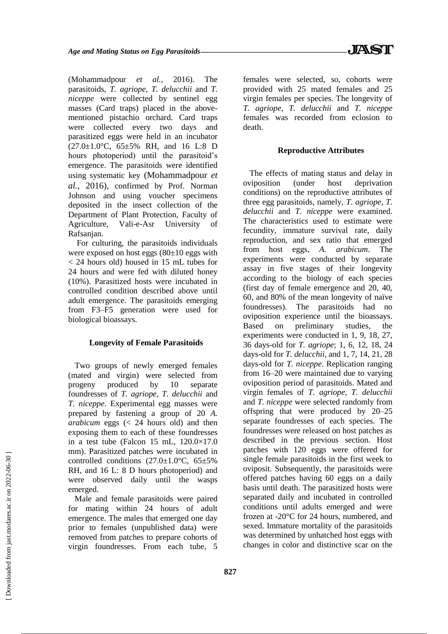(Mohammadpour *et al.*, 2016). The parasitoids, *T. agriope*, *T. delucchii* and *T. niceppe* were collected by sentinel egg masses (Card traps) placed in the abovementioned pistachio orchard. Card traps were collected every two days and parasitized eggs were held in an incubator (27.0±1.0°C, 65±5% RH, and 16 L:8 D hours photoperiod) until the parasitoid's emergence. The parasitoids were identified using systematic key (Mohammadpour *et al.*, 2016), confirmed by Prof. Norman Johnson and using voucher specimens deposited in the insect collection of the Department of Plant Protection, Faculty of Agriculture, Vali-e-Asr University of Rafsanjan.

For culturing, the parasitoids individuals were exposed on host eggs  $(80\pm10)$  eggs with < 24 hours old) housed in 15 mL tubes for 24 hours and were fed with diluted honey (10%). Parasitized hosts were incubated in controlled condition described above until adult emergence. The parasitoids emerging from F3–F5 generation were used for biological bioassays.

# **Longevity of Female Parasitoids**

Two groups of newly emerged females (mated and virgin) were selected from progeny produced by 10 separate foundresses of *T. agriope*, *T. delucchii* and *T. niceppe*. Experimental egg masses were prepared by fastening a group of 20 *A. arabicum* eggs (< 24 hours old) and then exposing them to each of these foundresses in a test tube (Falcon  $15 \text{ mL}$ ,  $120.0 \times 17.0$ mm). Parasitized patches were incubated in controlled conditions  $(27.0 \pm 1.0^{\circ} \text{C}, 65 \pm 5\%$ RH, and 16 L: 8 D hours photoperiod) and were observed daily until the wasps emerged.

Male and female parasitoids were paired for mating within 24 hours of adult emergence. The males that emerged one day prior to females (unpublished data) were removed from patches to prepare cohorts of virgin foundresses. From each tube, 5 females were selected, so, cohorts were provided with 25 mated females and 25 virgin females per species. The longevity of *T. agriope*, *T. delucchii* and *T. niceppe* females was recorded from eclosion to death.

### **Reproductive Attributes**

The effects of mating status and delay in oviposition (under host deprivation conditions) on the reproductive attributes of three egg parasitoids, namely, *T. agriope*, *T. delucchii* and *T. niceppe* were examined. The characteristics used to estimate were fecundity, immature survival rate, daily reproduction, and sex ratio that emerged from host eggs, *A. arabicum*. The experiments were conducted by separate assay in five stages of their longevity according to the biology of each species (first day of female emergence and 20, 40, 60, and 80% of the mean longevity of naïve foundresses). The parasitoids had no oviposition experience until the bioassays. Based on preliminary studies, the experiments were conducted in 1, 9, 18, 27, 36 days-old for *T. agriope*; 1, 6, 12, 18, 24 days-old for *T. delucchii*, and 1, 7, 14, 21, 28 days-old for *T. niceppe*. Replication ranging from 16–20 were maintained due to varying oviposition period of parasitoids. Mated and virgin females of *T. agriope*, *T. delucchii* and *T. niceppe* were selected randomly from offspring that were produced by 20–25 separate foundresses of each species. The foundresses were released on host patches as described in the previous section. Host patches with 120 eggs were offered for single female parasitoids in the first week to oviposit. Subsequently, the parasitoids were offered patches having 60 eggs on a daily basis until death. The parasitized hosts were separated daily and incubated in controlled conditions until adults emerged and were frozen at -20°C for 24 hours, numbered, and sexed. Immature mortality of the parasitoids was determined by unhatched host eggs with changes in color and distinctive scar on the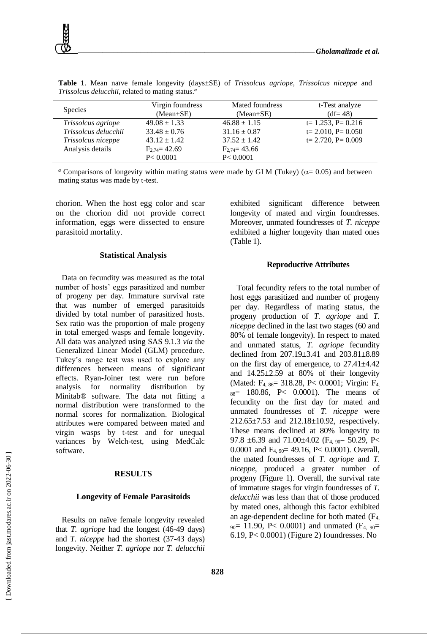

| <b>Species</b>       | Virgin foundress<br>$(Mean \pm SE)$ | Mated foundress<br>$(Mean \pm SE)$ | t-Test analyze<br>$(df=48)$ |
|----------------------|-------------------------------------|------------------------------------|-----------------------------|
| Trissolcus agriope   | $49.08 \pm 1.33$                    | $46.88 \pm 1.15$                   | $t=1.253$ , P= 0.216        |
| Trissolcus delucchii | $33.48 \pm 0.76$                    | $31.16 \pm 0.87$                   | $t = 2.010$ , $P = 0.050$   |
| Trissolcus niceppe   | $43.12 \pm 1.42$                    | $37.52 \pm 1.42$                   | $t = 2.720$ , $P = 0.009$   |
| Analysis details     | $F_{2,74} = 42.69$                  | $F_{2,74} = 43.66$                 |                             |
|                      | P < 0.0001                          | P < 0.0001                         |                             |

**Table 1**. Mean naïve female longevity (days±SE) of *Trissolcus agriope*, *Trissolcus niceppe* and *Trissolcus delucchii*, related to mating status.*<sup>a</sup>*

<sup>*a*</sup> Comparisons of longevity within mating status were made by GLM (Tukey) ( $\alpha$ = 0.05) and between mating status was made by t-test.

chorion. When the host egg color and scar on the chorion did not provide correct information, eggs were dissected to ensure parasitoid mortality.

#### **Statistical Analysis**

Data on fecundity was measured as the total number of hosts' eggs parasitized and number of progeny per day. Immature survival rate that was number of emerged parasitoids divided by total number of parasitized hosts. Sex ratio was the proportion of male progeny in total emerged wasps and female longevity. All data was analyzed using SAS 9.1.3 *via* the Generalized Linear Model (GLM) procedure. Tukey's range test was used to explore any differences between means of significant effects. Ryan-Joiner test were run before analysis for normality distribution by Minitab® software. The data not fitting a normal distribution were transformed to the normal scores for normalization. Biological attributes were compared between mated and virgin wasps by t-test and for unequal variances by Welch-test, using MedCalc software.

#### **RESULTS**

#### **Longevity of Female Parasitoids**

Results on naïve female longevity revealed that *T. agriope* had the longest (46-49 days) and *T. niceppe* had the shortest (37-43 days) longevity. Neither *T. agriope* nor *T. delucchii* exhibited significant difference between longevity of mated and virgin foundresses. Moreover, unmated foundresses of *T. niceppe* exhibited a higher longevity than mated ones (Table 1).

#### **Reproductive Attributes**

Total fecundity refers to the total number of host eggs parasitized and number of progeny per day. Regardless of mating status, the progeny production of *T. agriope* and *T. niceppe* declined in the last two stages (60 and 80% of female longevity). In respect to mated and unmated status, *T. agriope* fecundity declined from 207.19±3.41 and 203.81±8.89 on the first day of emergence, to 27.41±4.42 and  $14.25\pm2.59$  at 80% of their longevity (Mated: F<sub>4, 86</sub> = 318.28, P < 0.0001; Virgin: F<sub>4</sub>  $88 = 180.86$ , P< 0.0001). The means of fecundity on the first day for mated and unmated foundresses of *T. niceppe* were 212.65±7.53 and 212.18±10.92, respectively. These means declined at 80% longevity to 97.8  $\pm$ 6.39 and 71.00 $\pm$ 4.02 (F<sub>4, 90</sub> = 50.29, P< 0.0001 and  $F_{4, 90}$  = 49.16, P < 0.0001). Overall, the mated foundresses of *T. agriope* and *T. niceppe*, produced a greater number of progeny (Figure 1). Overall, the survival rate of immature stages for virgin foundresses of *T. delucchii* was less than that of those produced by mated ones, although this factor exhibited an age-dependent decline for both mated (F4,  $_{90}$  = 11.90, P< 0.0001) and unmated (F<sub>4, 90</sub>= 6.19, P< 0.0001) (Figure 2) foundresses. No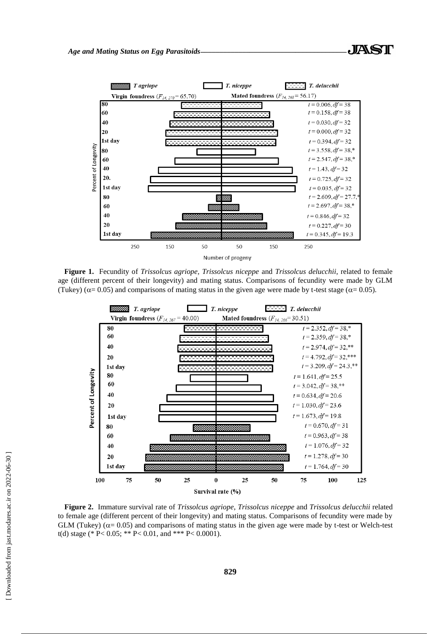

**Figure 1.** Fecundity of *Trissolcus agriope, Trissolcus niceppe* and *Trissolcus delucchii*, related to female age (different percent of their longevity) and mating status. Comparisons of fecundity were made by GLM (Tukey) ( $\alpha$  = 0.05) and comparisons of mating status in the given age were made by t-test stage ( $\alpha$  = 0.05).



**Figure 2.** Immature survival rate of *Trissolcus agriope*, *Trissolcus niceppe* and *Trissolcus delucchii* related to female age (different percent of their longevity) and mating status. Comparisons of fecundity were made by GLM (Tukey) ( $\alpha$  = 0.05) and comparisons of mating status in the given age were made by t-test or Welch-test t(d) stage (\* P< 0.05; \*\* P< 0.01, and \*\*\* P< 0.0001).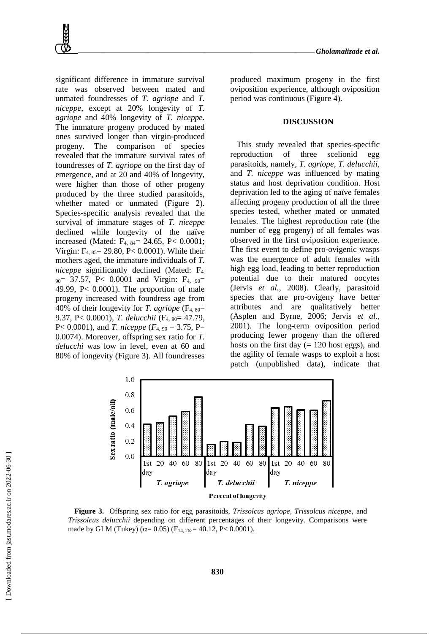significant difference in immature survival rate was observed between mated and unmated foundresses of *T. agriope* and *T. niceppe*, except at 20% longevity of *T. agriope* and 40% longevity of *T. niceppe.*  The immature progeny produced by mated ones survived longer than virgin-produced progeny. The comparison of species revealed that the immature survival rates of foundresses of *T. agriope* on the first day of emergence, and at 20 and 40% of longevity, were higher than those of other progeny produced by the three studied parasitoids, whether mated or unmated (Figure 2). Species-specific analysis revealed that the survival of immature stages of *T. niceppe* declined while longevity of the naïve increased (Mated: F4, 84= 24.65, P< 0.0001; Virgin: F4, 85= 29.80, P< 0.0001). While their mothers aged, the immature individuals of *T. niceppe* significantly declined (Mated: F4,  $_{90}$  = 37.57, P< 0.0001 and Virgin: F<sub>4, 90</sub>= 49.99, P< 0.0001). The proportion of male progeny increased with foundress age from 40% of their longevity for *T. agriope* (F4, 80= 9.37, P< 0.0001), *T. delucchii* (F4, 90= 47.79, P< 0.0001), and *T. niceppe*  $(F_{4, 90} = 3.75, P =$ 0.0074). Moreover, offspring sex ratio for *T. delucchi* was low in level, even at 60 and 80% of longevity (Figure 3). All foundresses

produced maximum progeny in the first oviposition experience, although oviposition period was continuous (Figure 4).

## **DISCUSSION**

This study revealed that species-specific reproduction of three scelionid egg parasitoids, namely, *T. agriope*, *T. delucchii*, and *T. niceppe* was influenced by mating status and host deprivation condition. Host deprivation led to the aging of naïve females affecting progeny production of all the three species tested, whether mated or unmated females. The highest reproduction rate (the number of egg progeny) of all females was observed in the first oviposition experience. The first event to define pro-ovigenic wasps was the emergence of adult females with high egg load, leading to better reproduction potential due to their matured oocytes (Jervis *et al.*, 2008). Clearly, parasitoid species that are pro-ovigeny have better attributes and are qualitatively better (Asplen and Byrne, 2006; Jervis *et al.*, 2001). The long-term oviposition period producing fewer progeny than the offered hosts on the first day  $(= 120$  host eggs), and the agility of female wasps to exploit a host patch (unpublished data), indicate that



**Figure 3.** Offspring sex ratio for egg parasitoids, *Trissolcus agriope, Trissolcus niceppe,* and *Trissolcus delucchii* depending on different percentages of their longevity. Comparisons were made by GLM (Tukey) ( $\alpha$  = 0.05) (F<sub>14, 262</sub> = 40.12, P < 0.0001).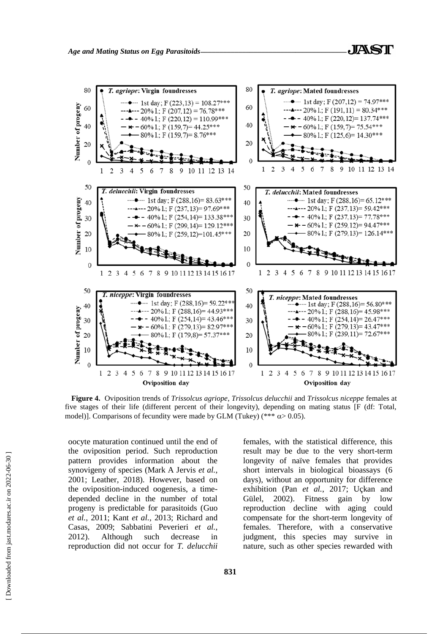

**Figure 4.** Oviposition trends of *Trissolcus agriope*, *Trissolcus delucchii* and *Trissolcus niceppe* females at five stages of their life (different percent of their longevity), depending on mating status [F (df: Total, model)]. Comparisons of fecundity were made by GLM (Tukey) (\*\*\*  $\alpha$  > 0.05).

oocyte maturation continued until the end of the oviposition period. Such reproduction pattern provides information about the synovigeny of species (Mark A Jervis *et al.*, 2001; Leather, 2018). However, based on the oviposition-induced oogenesis, a timedepended decline in the number of total progeny is predictable for parasitoids (Guo *et al.*, 2011; Kant *et al.*, 2013; Richard and Casas, 2009; Sabbatini Peverieri *et al.*, 2012). Although such decrease in reproduction did not occur for *T. delucchii* females, with the statistical difference, this result may be due to the very short-term longevity of naïve females that provides short intervals in biological bioassays (6 days), without an opportunity for difference exhibition (Pan *et al.*, 2017; Uçkan and Gülel, 2002). Fitness gain by low reproduction decline with aging could compensate for the short-term longevity of females. Therefore, with a conservative judgment, this species may survive in nature, such as other species rewarded with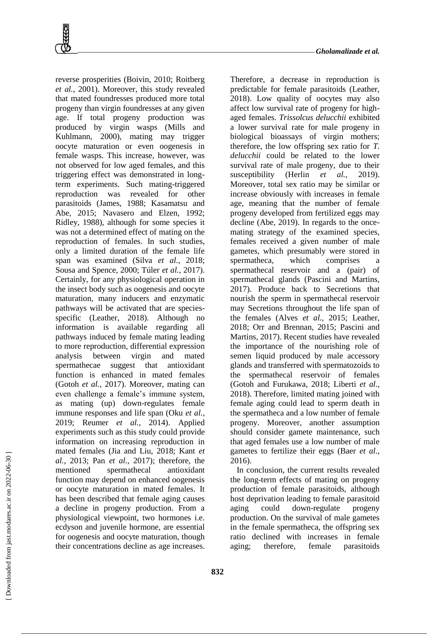

reverse prosperities (Boivin, 2010; Roitberg *et al.*, 2001). Moreover, this study revealed that mated foundresses produced more total progeny than virgin foundresses at any given age. If total progeny production was produced by virgin wasps (Mills and Kuhlmann, 2000), mating may trigger oocyte maturation or even oogenesis in female wasps. This increase, however, was not observed for low aged females, and this triggering effect was demonstrated in longterm experiments. Such mating-triggered reproduction was revealed for other parasitoids (James, 1988; Kasamatsu and Abe, 2015; Navasero and Elzen, 1992; Ridley, 1988), although for some species it was not a determined effect of mating on the reproduction of females. In such studies, only a limited duration of the female life span was examined (Silva *et al.*, 2018; Sousa and Spence, 2000; Túler *et al.*, 2017). Certainly, for any physiological operation in the insect body such as oogenesis and oocyte maturation, many inducers and enzymatic pathways will be activated that are speciesspecific (Leather, 2018). Although no information is available regarding all pathways induced by female mating leading to more reproduction, differential expression analysis between virgin and mated spermathecae suggest that antioxidant function is enhanced in mated females (Gotoh *et al.*, 2017). Moreover, mating can even challenge a female's immune system, as mating (up) down-regulates female immune responses and life span (Oku *et al.*, 2019; Reumer *et al.*, 2014). Applied experiments such as this study could provide information on increasing reproduction in mated females (Jia and Liu, 2018; Kant *et al.*, 2013; Pan *et al.*, 2017); therefore, the mentioned spermathecal antioxidant function may depend on enhanced oogenesis or oocyte maturation in mated females. It has been described that female aging causes a decline in progeny production. From a physiological viewpoint, two hormones i.e. ecdyson and juvenile hormone, are essential for oogenesis and oocyte maturation, though their concentrations decline as age increases.

Therefore, a decrease in reproduction is predictable for female parasitoids (Leather, 2018). Low quality of oocytes may also affect low survival rate of progeny for highaged females. *Trissolcus delucchii* exhibited a lower survival rate for male progeny in biological bioassays of virgin mothers; therefore, the low offspring sex ratio for *T. delucchii* could be related to the lower survival rate of male progeny, due to their susceptibility (Herlin *et al.*, 2019). Moreover, total sex ratio may be similar or increase obviously with increases in female age, meaning that the number of female progeny developed from fertilized eggs may decline (Abe, 2019). In regards to the oncemating strategy of the examined species, females received a given number of male gametes, which presumably were stored in spermatheca, which comprises spermathecal reservoir and a (pair) of spermathecal glands (Pascini and Martins, 2017). Produce back to Secretions that nourish the sperm in spermathecal reservoir may Secretions throughout the life span of the females (Alves *et al.*, 2015; Leather, 2018; Orr and Brennan, 2015; Pascini and Martins, 2017). Recent studies have revealed the importance of the nourishing role of semen liquid produced by male accessory glands and transferred with spermatozoids to the spermathecal reservoir of females (Gotoh and Furukawa, 2018; Liberti *et al.*, 2018). Therefore, limited mating joined with female aging could lead to sperm death in the spermatheca and a low number of female progeny. Moreover, another assumption should consider gamete maintenance, such that aged females use a low number of male gametes to fertilize their eggs (Baer *et al.*, 2016).

In conclusion, the current results revealed the long-term effects of mating on progeny production of female parasitoids, although host deprivation leading to female parasitoid aging could down-regulate progeny production. On the survival of male gametes in the female spermatheca, the offspring sex ratio declined with increases in female aging; therefore, female parasitoids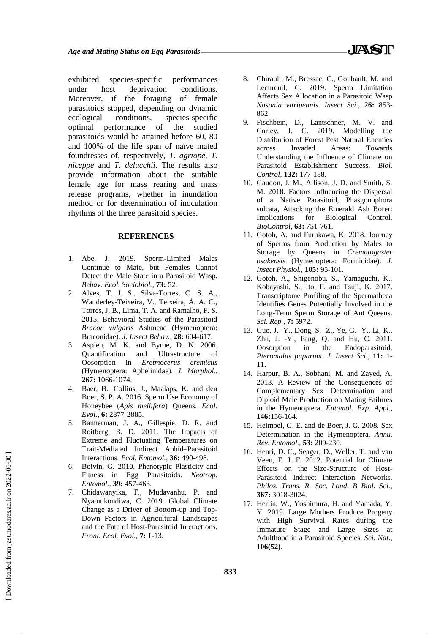exhibited species-specific performances under host deprivation conditions. Moreover, if the foraging of female parasitoids stopped, depending on dynamic ecological conditions, species-specific optimal performance of the studied parasitoids would be attained before 60, 80 and 100% of the life span of naïve mated foundresses of, respectively, *T. agriope*, *T. niceppe* and *T. delucchii*. The results also provide information about the suitable female age for mass rearing and mass release programs, whether in inundation method or for determination of inoculation rhythms of the three parasitoid species.

### **REFERENCES**

- 1. Abe, J. 2019. Sperm-Limited Males Continue to Mate, but Females Cannot Detect the Male State in a Parasitoid Wasp. *Behav. Ecol. Sociobiol.,* **73:** 52.
- 2. Alves, T. J. S., Silva-Torres, C. S. A., Wanderley-Teixeira, V., Teixeira, Á. A. C., Torres, J. B., Lima, T. A. and Ramalho, F. S. 2015. Behavioral Studies of the Parasitoid *Bracon vulgaris* Ashmead (Hymenoptera: Braconidae). *J. Insect Behav.,* **28:** 604-617.
- 3. Asplen, M. K. and Byrne, D. N. 2006. Quantification and Ultrastructure of Oosorption in *Eretmocerus eremicus* (Hymenoptera: Aphelinidae). *J. Morphol.,*  **267:** 1066-1074.
- 4. Baer, B., Collins, J., Maalaps, K. and den Boer, S. P. A. 2016. Sperm Use Economy of Honeybee (*Apis mellifera*) Queens. *Ecol. Evol.,* **6:** 2877-2885.
- 5. Bannerman, J. A., Gillespie, D. R. and Roitberg, B. D. 2011. The Impacts of Extreme and Fluctuating Temperatures on Trait-Mediated Indirect Aphid–Parasitoid Interactions. *Ecol. Entomol.,* **36:** 490-498.
- 6. Boivin, G. 2010. Phenotypic Plasticity and Fitness in Egg Parasitoids. *Neotrop. Entomol.,* **39:** 457-463.
- 7. Chidawanyika, F., Mudavanhu, P. and Nyamukondiwa, C. 2019. Global Climate Change as a Driver of Bottom-up and Top-Down Factors in Agricultural Landscapes and the Fate of Host-Parasitoid Interactions. *Front. Ecol. Evol.,* **7:** 1-13.
- 8. Chirault, M., Bressac, C., Goubault, M. and Lécureuil, C. 2019. Sperm Limitation Affects Sex Allocation in a Parasitoid Wasp *Nasonia vitripennis*. *Insect Sci.,* **26:** 853- 862.
- 9. Fischbein, D., Lantschner, M. V. and Corley, J. C. 2019. Modelling the Distribution of Forest Pest Natural Enemies across Invaded Areas: Towards Understanding the Influence of Climate on Parasitoid Establishment Success. *Biol. Control,* **132:** 177-188.
- 10. Gaudon, J. M., Allison, J. D. and Smith, S. M. 2018. Factors Influencing the Dispersal of a Native Parasitoid, Phasgonophora sulcata, Attacking the Emerald Ash Borer: Implications for Biological Control. *BioControl,* **63:** 751-761.
- 11. Gotoh, A. and Furukawa, K. 2018. Journey of Sperms from Production by Males to Storage by Queens in *Crematogaster osakensis* (Hymenoptera: Formicidae). *J. Insect Physiol.,* **105:** 95-101.
- 12. Gotoh, A., Shigenobu, S., Yamaguchi, K., Kobayashi, S., Ito, F. and Tsuji, K. 2017. Transcriptome Profiling of the Spermatheca Identifies Genes Potentially Involved in the Long-Term Sperm Storage of Ant Queens. *Sci. Rep.,* **7:** 5972.
- 13. Guo, J. -Y., Dong, S. -Z., Ye, G. -Y., Li, K., Zhu, J. -Y., Fang, Q. and Hu, C. 2011. Oosorption in the Endoparasitoid, *Pteromalus puparum*. *J. Insect Sci.,* **11:** 1- 11.
- 14. Harpur, B. A., Sobhani, M. and Zayed, A. 2013. A Review of the Consequences of Complementary Sex Determination and Diploid Male Production on Mating Failures in the Hymenoptera. *Entomol. Exp. Appl.,*  **146:**156-164.
- 15. Heimpel, G. E. and de Boer, J. G. 2008. Sex Determination in the Hymenoptera. *Annu. Rev. Entomol.,* **53:** 209-230.
- 16. Henri, D. C., Seager, D., Weller, T. and van Veen, F. J. F. 2012. Potential for Climate Effects on the Size-Structure of Host-Parasitoid Indirect Interaction Networks. *Philos. Trans. R. Soc. Lond. B Biol. Sci.,*  **367:** 3018-3024.
- 17. Herlin, W., Yoshimura, H. and Yamada, Y. Y. 2019. Large Mothers Produce Progeny with High Survival Rates during the Immature Stage and Large Sizes at Adulthood in a Parasitoid Species. *Sci. Nat.,*  **106(52)**.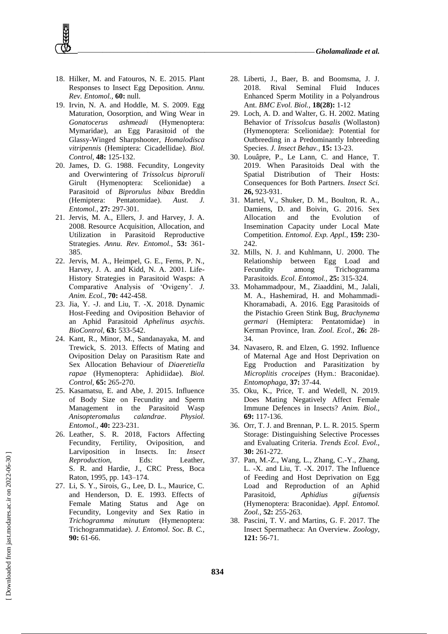- 18. Hilker, M. and Fatouros, N. E. 2015. Plant Responses to Insect Egg Deposition. *Annu. Rev. Entomol.,* **60:** null.
- 19. Irvin, N. A. and Hoddle, M. S. 2009. Egg Maturation, Oosorption, and Wing Wear in *Gonatocerus ashmeadi* (Hymenoptera: Mymaridae), an Egg Parasitoid of the Glassy-Winged Sharpshooter, *Homalodisca vitripennis* (Hemiptera: Cicadellidae). *Biol. Control,* **48:** 125-132.
- 20. James, D. G. 1988. Fecundity, Longevity and Overwintering of *Trissolcus biproruli* Girult (Hymenoptera: Scelionidae) a Parasitoid of *Biprorulus bibax* Breddin (Hemiptera: Pentatomidae). *Aust. J. Entomol.,* **27:** 297-301.
- 21. Jervis, M. A., Ellers, J. and Harvey, J. A. 2008. Resource Acquisition, Allocation, and Utilization in Parasitoid Reproductive Strategies. *Annu. Rev. Entomol.,* **53:** 361- 385.
- 22. Jervis, M. A., Heimpel, G. E., Ferns, P. N., Harvey, J. A. and Kidd, N. A. 2001. Life-History Strategies in Parasitoid Wasps: A Comparative Analysis of 'Ovigeny'. *J. Anim. Ecol.,* **70:** 442-458.
- 23. Jia, Y. -J. and Liu, T. -X. 2018. Dynamic Host-Feeding and Oviposition Behavior of an Aphid Parasitoid *Aphelinus asychis*. *BioControl,* **63:** 533-542.
- 24. Kant, R., Minor, M., Sandanayaka, M. and Trewick, S. 2013. Effects of Mating and Oviposition Delay on Parasitism Rate and Sex Allocation Behaviour of *Diaeretiella rapae* (Hymenoptera: Aphidiidae). *Biol. Control,* **65:** 265-270.
- 25. Kasamatsu, E. and Abe, J. 2015. Influence of Body Size on Fecundity and Sperm Management in the Parasitoid Wasp *Anisopteromalus calandrae*. *Physiol. Entomol.,* **40:** 223-231.
- 26. Leather, S. R. 2018, Factors Affecting Fecundity, Fertility, Oviposition, and Larviposition in Insects. In: *Insect Reproduction*, Eds: Leather, S. R. and Hardie, J., CRC Press, Boca Raton, 1995, pp. 143–174.
- 27. Li, S. Y., Sirois, G., Lee, D. L., Maurice, C. and Henderson, D. E. 1993. Effects of Female Mating Status and Age on Fecundity, Longevity and Sex Ratio in *Trichogramma minutum* (Hymenoptera: Trichogrammatidae). *J. Entomol. Soc. B. C.,*  **90:** 61-66.
- 28. Liberti, J., Baer, B. and Boomsma, J. J. 2018. Rival Seminal Fluid Induces Enhanced Sperm Motility in a Polyandrous Ant. *BMC Evol. Biol.,* **18(28):** 1-12
- 29. Loch, A. D. and Walter, G. H. 2002. Mating Behavior of *Trissolcus basalis* (Wollaston) (Hymenoptera: Scelionidae): Potential for Outbreeding in a Predominantly Inbreeding Species. *J. Insect Behav.,* **15:** 13-23.
- 30. Louâpre, P., Le Lann, C. and Hance, T. 2019. When Parasitoids Deal with the Spatial Distribution of Their Hosts: Consequences for Both Partners. *Insect Sci.*  **26,** 923-931.
- 31. Martel, V., Shuker, D. M., Boulton, R. A., Damiens, D. and Boivin, G. 2016. Sex Allocation and the Evolution of Insemination Capacity under Local Mate Competition. *Entomol. Exp. Appl.,* **159:** 230- 242.
- 32. Mills, N. J. and Kuhlmann, U. 2000. The Relationship between Egg Load and Fecundity among Trichogramma Parasitoids. *Ecol. Entomol.,* **25:** 315-324.
- 33. Mohammadpour, M., Ziaaddini, M., Jalali, M. A., Hashemirad, H. and Mohammadi-Khoramabadi, A. 2016. Egg Parasitoids of the Pistachio Green Stink Bug, *Brachynema germari* (Hemiptera: Pentatomidae) in Kerman Province, Iran. *Zool. Ecol.,* **26:** 28- 34.
- 34. Navasero, R. and Elzen, G. 1992. Influence of Maternal Age and Host Deprivation on Egg Production and Parasitization by *Microplitis croceipes* (Hym.: Braconidae). *Entomophaga,* **37:** 37-44.
- 35. Oku, K., Price, T. and Wedell, N. 2019. Does Mating Negatively Affect Female Immune Defences in Insects? *Anim. Biol.,*  **69:** 117-136.
- 36. Orr, T. J. and Brennan, P. L. R. 2015. Sperm Storage: Distinguishing Selective Processes and Evaluating Criteria. *Trends Ecol. Evol.,*  **30:** 261-272.
- 37. Pan, M.-Z., Wang, L., Zhang, C.-Y., Zhang, L. -X. and Liu, T. -X. 2017. The Influence of Feeding and Host Deprivation on Egg Load and Reproduction of an Aphid Parasitoid, *Aphidius gifuensis* (Hymenoptera: Braconidae). *Appl. Entomol. Zool.,* **52:** 255-263.
- 38. Pascini, T. V. and Martins, G. F. 2017. The Insect Spermatheca: An Overview. *Zoology,*  **121:** 56-71.

 [\[ Downloaded from jast.modares.ac.ir on 2](https://jast.modares.ac.ir/article-23-42490-en.html)022-06-30 ] Downloaded from jast.modares.ac.ir on 2022-06-30]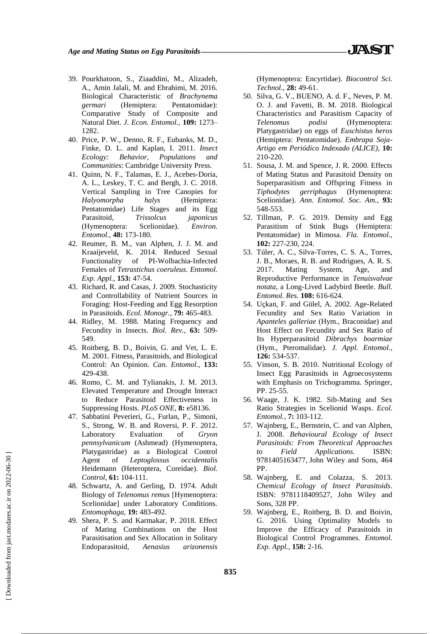- 39. Pourkhatoon, S., Ziaaddini, M., Alizadeh, A., Amin Jalali, M. and Ebrahimi, M. 2016. Biological Characteristic of *Brachynema germari* (Hemiptera: Pentatomidae): Comparative Study of Composite and Natural Diet. *J. Econ. Entomol.,* **109:** 1273– 1282.
- 40. Price, P. W., Denno, R. F., Eubanks, M. D., Finke, D. L. and Kaplan, I. 2011. *Insect Ecology: Behavior, Populations and Communities*: Cambridge University Press.
- 41. Quinn, N. F., Talamas, E. J., Acebes-Doria, A. L., Leskey, T. C. and Bergh, J. C. 2018. Vertical Sampling in Tree Canopies for *Halyomorpha halys* (Hemiptera: Pentatomidae) Life Stages and its Egg Parasitoid, *Trissolcus japonicus*  (Hymenoptera: Scelionidae). *Environ. Entomol.,* **48:** 173-180.
- 42. Reumer, B. M., van Alphen, J. J. M. and Kraaijeveld, K. 2014. Reduced Sexual Functionality of PI-Wolbachia-Infected Females of *Tetrastichus coeruleus*. *Entomol. Exp. Appl.,* **153:** 47-54.
- 43. Richard, R. and Casas, J. 2009. Stochasticity and Controllability of Nutrient Sources in Foraging: Host-Feeding and Egg Resorption in Parasitoids. *Ecol. Monogr.,* **79:** 465-483.
- 44. Ridley, M. 1988. Mating Frequency and Fecundity in Insects. *Biol. Rev.,* **63:** 509- 549.
- 45. Roitberg, B. D., Boivin, G. and Vet, L. E. M. 2001. Fitness, Parasitoids, and Biological Control: An Opinion. *Can. Entomol.,* **133:** 429-438.
- 46. Romo, C. M. and Tylianakis, J. M. 2013. Elevated Temperature and Drought Interact to Reduce Parasitoid Effectiveness in Suppressing Hosts. *PLoS ONE,* **8:** e58136.
- 47. Sabbatini Peverieri, G., Furlan, P., Simoni, S., Strong, W. B. and Roversi, P. F. 2012. Laboratory Evaluation of *Gryon pennsylvanicum* (Ashmead) (Hymenoptera, Platygastridae) as a Biological Control Agent of *Leptoglossus occidentalis* Heidemann (Heteroptera, Coreidae). *Biol. Control,* **61:** 104-111.
- 48. Schwartz, A. and Gerling, D. 1974. Adult Biology of *Telenomus remus* [Hymenoptera: Scelionidae] under Laboratory Conditions. *Entomophaga,* **19:** 483-492.
- 49. Shera, P. S. and Karmakar, P. 2018. Effect of Mating Combinations on the Host Parasitisation and Sex Allocation in Solitary Endoparasitoid, *Aenasius arizonensis*

(Hymenoptera: Encyrtidae). *Biocontrol Sci. Technol.,* **28:** 49-61.

- 50. Silva, G. V., BUENO, A. d. F., Neves, P. M. O. J. and Favetti, B. M. 2018. Biological Characteristics and Parasitism Capacity of *Telenomus podisi* (Hymenoptera: Platygastridae) on eggs of *Euschistus heros* (Hemiptera: Pentatomidae). *Embrapa Soja-Artigo em Periódico Indexado (ALICE),* **10:** 210-220.
- 51. Sousa, J. M. and Spence, J. R. 2000. Effects of Mating Status and Parasitoid Density on Superparasitism and Offspring Fitness in *Tiphodytes gerriphagus* (Hymenoptera: Scelionidae). *Ann. Entomol. Soc. Am.,* **93:**  548-553.
- 52. Tillman, P. G. 2019. Density and Egg Parasitism of Stink Bugs (Hemiptera: Pentatomidae) in Mimosa. *Fla. Entomol.,*  **102:** 227-230, 224.
- 53. Túler, A. C., Silva-Torres, C. S. A., Torres, J. B., Moraes, R. B. and Rodrigues, A. R. S. 2017. Mating System, Age, and Reproductive Performance in *Tenuisvalvae notata*, a Long-Lived Ladybird Beetle. *Bull. Entomol. Res.* **108:** 616-624.
- 54. Uçkan, F. and Gülel, A. 2002. Age-Related Fecundity and Sex Ratio Variation in *Apanteles galleriae* (Hym., Braconidae) and Host Effect on Fecundity and Sex Ratio of Its Hyperparasitoid *Dibrachys boarmiae* (Hym., Pteromalidae). *J. Appl. Entomol.,*  **126:** 534-537.
- 55. Vinson, S. B. 2010. Nutritional Ecology of Insect Egg Parasitoids in Agroecosystems with Emphasis on Trichogramma. Springer, PP. 25-55.
- 56. Waage, J. K. 1982. Sib-Mating and Sex Ratio Strategies in Scelionid Wasps. *Ecol. Entomol.,* **7:** 103-112.
- 57. Wajnberg, E., Bernstein, C. and van Alphen, J. 2008. *Behavioural Ecology of Insect Parasitoids: From Theoretical Approaches to Field Applications*. ISBN: 9781405163477, John Wiley and Sons, 464 PP.
- 58. Wajnberg, E. and Colazza, S. 2013. *Chemical Ecology of Insect Parasitoids*. ISBN: 9781118409527, John Wiley and Sons, 328 PP.
- 59. Wajnberg, E., Roitberg, B. D. and Boivin, G. 2016. Using Optimality Models to Improve the Efficacy of Parasitoids in Biological Control Programmes. *Entomol. Exp. Appl.,* **158:** 2-16.